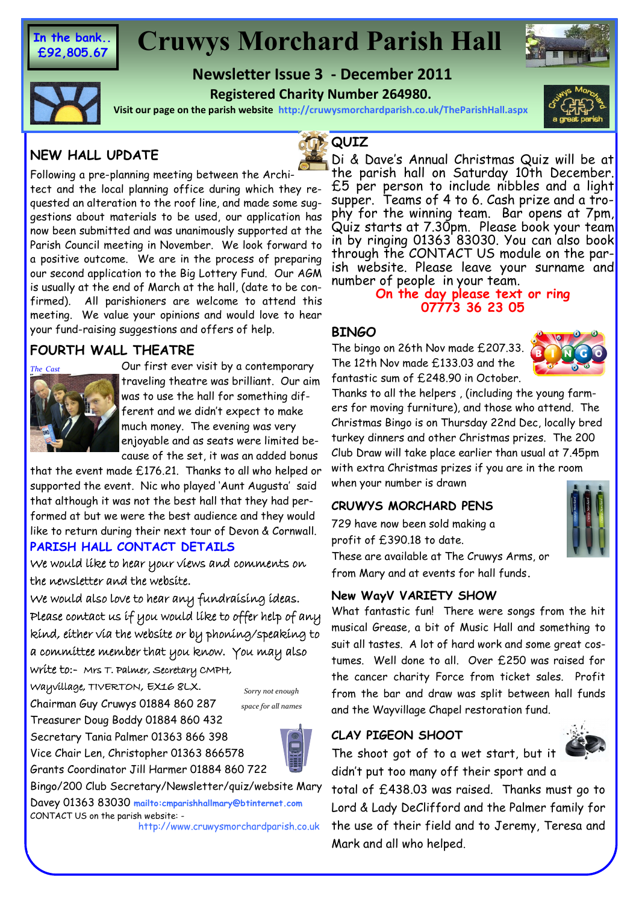**In the bank.. £92,805.67**

## **Cruwys Morchard Parish Hall**

## **Newsletter Issue 3 - December 2011 Registered Charity Number 264980.**





**Visit our page on the parish website http://cruwysmorchardparish.co.uk/TheParishHall.aspx**

## **NEW HALL UPDATE**



Following a pre-planning meeting between the Architect and the local planning office during which they requested an alteration to the roof line, and made some suggestions about materials to be used, our application has now been submitted and was unanimously supported at the Parish Council meeting in November. We look forward to a positive outcome. We are in the process of preparing our second application to the Big Lottery Fund. Our AGM is usually at the end of March at the hall, (date to be confirmed). All parishioners are welcome to attend this meeting. We value your opinions and would love to hear your fund-raising suggestions and offers of help.

## **FOURTH WALL THEATRE**



Our first ever visit by a contemporary traveling theatre was brilliant. Our aim was to use the hall for something different and we didn't expect to make much money. The evening was very enjoyable and as seats were limited because of the set, it was an added bonus

that the event made £176.21. Thanks to all who helped or supported the event. Nic who played 'Aunt Augusta' said that although it was not the best hall that they had performed at but we were the best audience and they would like to return during their next tour of Devon & Cornwall.

## **PARISH HALL CONTACT DETAILS**

We would like to hear your views and comments on the newsletter and the website.

We would also love to hear any fundraising ideas. Please contact us if you would like to offer help of any kind, either via the website or by phoning/speaking to a committee member that you know. You may also

write to:- Mrs T. Palmer, Secretary CMPH, Wayvillage, TIVERTON, EX16 8LX.

Chairman Guy Cruwys 01884 860 287

Treasurer Doug Boddy 01884 860 432 Secretary Tania Palmer 01363 866 398 Vice Chair Len, Christopher 01363 866578 Grants Coordinator Jill Harmer 01884 860 722

*Sorry not enough space for all names*



Bingo/200 Club Secretary/Newsletter/quiz/website Mary Davey 01363 83030 **mailto:cmparishhallmary@btinternet.com** 

CONTACT US on the parish website: -

http://www.cruwysmorchardparish.co.uk

## **QUIZ**

Di & Dave's Annual Christmas Quiz will be at the parish hall on Saturday 10th December. £5 per person to include nibbles and a light supper. Teams of 4 to 6. Cash prize and a trophy for the winning team. Bar opens at 7pm, Quiz starts at 7.30pm. Please book your team in by ringing 01363 83030. You can also book through the CONTACT US module on the parish website. Please leave your surname and number of people in your team.

## **On the day please text or ring 07773 36 23 05**

## **BINGO**

The bingo on 26th Nov made £207.33. The 12th Nov made £133.03 and the fantastic sum of £248.90 in October.



Thanks to all the helpers , (including the young farmers for moving furniture), and those who attend. The Christmas Bingo is on Thursday 22nd Dec, locally bred turkey dinners and other Christmas prizes. The 200 Club Draw will take place earlier than usual at 7.45pm with extra Christmas prizes if you are in the room when your number is drawn

## **CRUWYS MORCHARD PENS**

729 have now been sold making a profit of £390.18 to date.

These are available at The Cruwys Arms, or from Mary and at events for hall funds**.**

## **New WayV VARIETY SHOW**

What fantastic fun! There were songs from the hit musical Grease, a bit of Music Hall and something to suit all tastes. A lot of hard work and some great costumes. Well done to all. Over £250 was raised for the cancer charity Force from ticket sales. Profit from the bar and draw was split between hall funds and the Wayvillage Chapel restoration fund.

## **CLAY PIGEON SHOOT**

The shoot got of to a wet start, but it didn't put too many off their sport and a



total of £438.03 was raised. Thanks must go to Lord & Lady DeClifford and the Palmer family for the use of their field and to Jeremy, Teresa and Mark and all who helped.